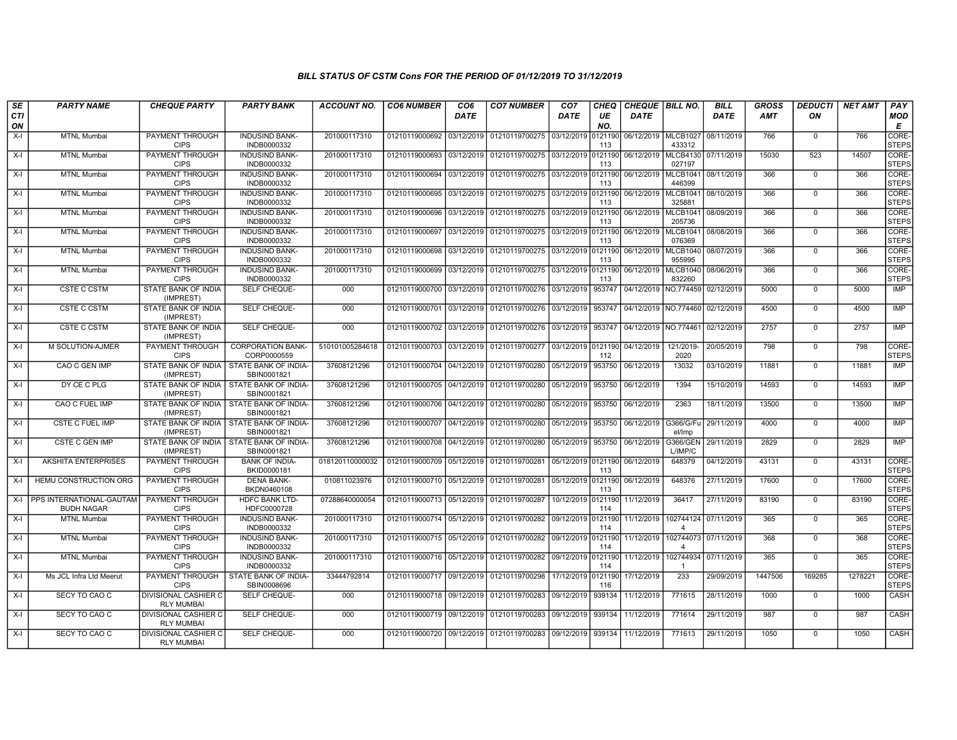| SE               | <b>PARTY NAME</b>                             | <b>CHEQUE PARTY</b>                                     | <b>PARTY BANK</b>                                       | <b>ACCOUNT NO.</b> | <b>CO6 NUMBER</b>         | CO <sub>6</sub> | <b>CO7 NUMBER</b>                                                     | CO <sub>7</sub>    | CHEQ           | CHEQUE   BILL NO.               |                                     | <b>BILL</b>          | <b>GROSS</b> | <i><b>DEDUCTI</b></i> | <b>NET AMT</b> | <b>PAY</b>                  |
|------------------|-----------------------------------------------|---------------------------------------------------------|---------------------------------------------------------|--------------------|---------------------------|-----------------|-----------------------------------------------------------------------|--------------------|----------------|---------------------------------|-------------------------------------|----------------------|--------------|-----------------------|----------------|-----------------------------|
| <b>CTI</b><br>ON |                                               |                                                         |                                                         |                    |                           | <b>DATE</b>     |                                                                       | <b>DATE</b>        | UE<br>NO.      | <b>DATE</b>                     |                                     | <b>DATE</b>          | AMT          | ON                    |                | <b>MOD</b><br>E             |
| $X-I$            | <b>MTNL Mumbai</b>                            | PAYMENT THROUGH<br><b>CIPS</b>                          | <b>INDUSIND BANK-</b><br>INDB0000332                    | 201000117310       | 01210119000692 03/12/2019 |                 | 01210119700275 03/12/2019                                             |                    | 0121190<br>113 | 06/12/2019 MLCB1027             | 433312                              | 08/11/2019           | 766          | $\mathbf 0$           | 766            | <b>CORE</b><br><b>STEPS</b> |
| $X-I$            | <b>MTNL Mumbai</b>                            | PAYMENT THROUGH<br><b>CIPS</b>                          | <b>INDUSIND BANK-</b><br>INDB0000332                    | 201000117310       | 01210119000693 03/12/2019 |                 | 01210119700275 03/12/2019 0121190                                     |                    | 113            | 06/12/2019                      | <b>MLCB4130</b><br>027197           | 07/11/2019           | 15030        | 523                   | 14507          | CORE-<br><b>STEPS</b>       |
| X-I              | <b>MTNL Mumbai</b>                            | PAYMENT THROUGH<br><b>CIPS</b>                          | <b>INDUSIND BANK-</b><br>INDB0000332                    | 201000117310       | 01210119000694 03/12/2019 |                 | 01210119700275 03/12/2019 0121190                                     |                    | 113            | 06/12/2019                      | <b>MLCB1041</b><br>446399           | 08/11/2019           | 366          | $\mathbf 0$           | 366            | CORE-<br><b>STEPS</b>       |
| X-I              | <b>MTNL Mumbai</b>                            | PAYMENT THROUGH<br><b>CIPS</b>                          | <b>INDUSIND BANK-</b><br>INDB0000332                    | 201000117310       | 01210119000695 03/12/2019 |                 | 01210119700275 03/12/2019 0121190                                     |                    | 113            | 06/12/2019                      | <b>MLCB1041</b><br>325881           | 08/10/2019           | 366          | $\Omega$              | 366            | CORE-<br><b>STEPS</b>       |
| X-I              | <b>MTNL Mumbai</b>                            | PAYMENT THROUGH<br><b>CIPS</b>                          | <b>INDUSIND BANK-</b><br>INDB0000332                    | 201000117310       | 01210119000696            | 03/12/2019      | 01210119700275 03/12/2019 0121190                                     |                    | 113            | 06/12/2019                      | MLCB1041<br>205736                  | 08/09/2019           | 366          | $\mathbf 0$           | 366            | CORE-<br><b>STEPS</b>       |
| X-I              | <b>MTNL Mumbai</b>                            | PAYMENT THROUGH<br><b>CIPS</b>                          | <b>INDUSIND BANK-</b><br>INDB0000332                    | 201000117310       | 01210119000697            | 03/12/2019      | 01210119700275 03/12/2019 0121190                                     |                    | 113            | 06/12/2019                      | MLCB1041<br>076369                  | 08/08/2019           | 366          | $\Omega$              | 366            | CORE-<br><b>STEPS</b>       |
| X-I              | <b>MTNL Mumbai</b>                            | PAYMENT THROUGH<br><b>CIPS</b>                          | <b>INDUSIND BANK-</b><br>INDB0000332                    | 201000117310       | 01210119000698            | 03/12/2019      | 01210119700275 03/12/2019 0121190                                     |                    | 113            | 06/12/2019                      | <b>MLCB1040</b><br>955995           | 08/07/2019           | 366          | $\mathbf 0$           | 366            | CORE-<br><b>STEPS</b>       |
| $X-I$            | <b>MTNL Mumbai</b>                            | PAYMENT THROUGH<br><b>CIPS</b>                          | <b>INDUSIND BANK-</b><br>INDB0000332                    | 201000117310       | 01210119000699            | 03/12/2019      | 01210119700275 03/12/2019 0121190                                     |                    | 113            | 06/12/2019                      | <b>MLCB1040</b><br>832260           | 08/06/2019           | 366          | $\mathbf 0$           | 366            | CORE-<br><b>STEPS</b>       |
| X-I              | <b>CSTE C CSTM</b>                            | STATE BANK OF INDIA<br>(IMPREST)                        | SELF CHEQUE-                                            | 000                | 01210119000700 03/12/2019 |                 | 01210119700276 03/12/2019 953747                                      |                    |                | 04/12/2019 NO.774459 02/12/2019 |                                     |                      | 5000         | $\mathbf 0$           | 5000           | <b>IMP</b>                  |
| X-I              | <b>CSTE C CSTM</b>                            | STATE BANK OF INDIA<br>(IMPREST)                        | SELF CHEQUE-                                            | 000                | 01210119000701            | 03/12/2019      | 01210119700276 03/12/2019                                             |                    | 953747         | 04/12/2019 NO.774460            |                                     | 02/12/2019           | 4500         | $\mathbf 0$           | 4500           | <b>IMP</b>                  |
| X-I              | <b>CSTE C CSTM</b>                            | STATE BANK OF INDIA<br>(IMPREST)                        | SELF CHEQUE-                                            | $000 -$            | 01210119000702 03/12/2019 |                 | 01210119700276 03/12/2019 953747                                      |                    |                | 04/12/2019 NO.774461 02/12/2019 |                                     |                      | 2757         | $\mathbf 0$           | 2757           | IMP                         |
| X-I              | M SOLUTION-AJMER                              | PAYMENT THROUGH<br><b>CIPS</b>                          | <b>CORPORATION BANK-</b><br>CORP0000559                 | 510101005284618    | 01210119000703 03/12/2019 |                 | 01210119700277 03/12/2019 0121190                                     |                    | 112            | 04/12/2019                      | 121/2019-<br>2020                   | 20/05/2019           | 798          | $\mathbf 0$           | 798            | CORE-<br><b>STEPS</b>       |
| $X-I$            | <b>CAO C GEN IMP</b>                          | (IMPREST)                                               | STATE BANK OF INDIA STATE BANK OF INDIA-<br>SBIN0001821 | 37608121296        | 01210119000704 04/12/2019 |                 | 01210119700280 05/12/2019 953750                                      |                    |                | 06/12/2019                      | 13032                               | 03/10/2019           | 11881        | $\Omega$              | 11881          | IMP                         |
| X-I              | DY CE C PLG                                   | STATE BANK OF INDIA   STATE BANK OF INDIA-<br>(IMPREST) | SBIN0001821                                             | 37608121296        | 01210119000705 04/12/2019 |                 | 01210119700280                                                        | 05/12/2019 953750  |                | 06/12/2019                      | 1394                                | 15/10/2019           | 14593        | $\mathbf 0$           | 14593          | <b>IMP</b>                  |
| $X-I$            | CAO C FUEL IMP                                | STATE BANK OF INDIA<br>(IMPREST)                        | STATE BANK OF INDIA-<br>SBIN0001821                     | 37608121296        | 01210119000706            | 04/12/2019      | 01210119700280 05/12/2019                                             |                    | 953750         | 06/12/2019                      | 2363                                | 18/11/2019           | 13500        | $\overline{0}$        | 13500          | IMP                         |
| X-I              | <b>CSTE C FUEL IMP</b>                        | (IMPREST)                                               | STATE BANK OF INDIA STATE BANK OF INDIA-<br>SBIN0001821 | 37608121296        |                           |                 | 01210119000707 04/12/2019 01210119700280 05/12/2019 953750 06/12/2019 |                    |                |                                 | G366/G/Fu<br>el/Imp                 | 29/11/2019           | 4000         | $\mathbf 0$           | 4000           | <b>IMP</b>                  |
| $X-I$            | <b>CSTE C GEN IMP</b>                         | STATE BANK OF INDIA   STATE BANK OF INDIA-<br>(IMPREST) | SBIN0001821                                             | 37608121296        | 01210119000708 04/12/2019 |                 | 01210119700280 05/12/2019 953750                                      |                    |                | 06/12/2019                      | G366/GEN<br>$L$ /IMP/C              | 29/11/2019           | 2829         | $\overline{0}$        | 2829           | <b>IMP</b>                  |
| X-I              | <b>AKSHITA ENTERPRISES</b>                    | PAYMENT THROUGH<br><b>CIPS</b>                          | <b>BANK OF INDIA-</b><br>BKID0000181                    | 018120110000032    | 01210119000709 05/12/2019 |                 | 01210119700281 05/12/2019 0121190                                     |                    | 113            | 06/12/2019                      | 648379                              | 04/12/2019           | 43131        | $\mathbf 0$           | 43131          | CORE-<br>Isteps             |
| $X-I$            | HEMU CONSTRUCTION ORG                         | PAYMENT THROUGH<br><b>CIPS</b>                          | <b>DENA BANK-</b><br>BKDN0460108                        | 010811023976       | 01210119000710 05/12/2019 |                 | 01210119700281                                                        | 05/12/2019 0121190 | 113            | 06/12/2019                      | 648376                              | 27/11/2019           | 17600        | $\overline{0}$        | 17600          | CORE-<br>STEPS              |
| $X-I$            | PPS INTERNATIONAL-GAUTAM<br><b>BUDH NAGAR</b> | PAYMENT THROUGH<br><b>CIPS</b>                          | <b>HDFC BANK LTD-</b><br>HDFC0000728                    | 07288640000054     | 01210119000713 05/12/2019 |                 | 01210119700287                                                        | 10/12/2019 0121190 | 114            | 11/12/2019                      | 36417                               | 27/11/2019           | 83190        | $\mathbf 0$           | 83190          | CORE-<br>Isteps             |
| X-I              | <b>MTNL Mumbai</b>                            | <b>PAYMENT THROUGH</b><br><b>CIPS</b>                   | <b>INDUSIND BANK-</b><br>INDB0000332                    | 201000117310       | 01210119000714 05/12/2019 |                 | 01210119700282 09/12/2019 0121190                                     |                    | 114            |                                 | 11/12/2019   102744124   07/11/2019 |                      | 365          | $\mathbf 0$           | 365            | CORE-<br>STEPS              |
| $X-I$            | <b>MTNL Mumbai</b>                            | PAYMENT THROUGH<br><b>CIPS</b>                          | <b>INDUSIND BANK-</b><br>INDB0000332                    | 201000117310       | 01210119000715 05/12/2019 |                 | 01210119700282 09/12/2019 0121190                                     |                    | 114            | 11/12/2019                      | 102744073<br>$\Delta$               | 07/11/2019           | 368          | $\mathbf 0$           | 368            | CORE-<br>STEPS              |
| X-I              | <b>MTNL Mumbai</b>                            | PAYMENT THROUGH<br><b>CIPS</b>                          | <b>INDUSIND BANK-</b><br>INDB0000332                    | 201000117310       | 01210119000716 05/12/2019 |                 | 01210119700282 09/12/2019 0121190                                     |                    | 114            | 11/12/2019                      |                                     | 102744934 07/11/2019 | 365          | $\mathbf 0$           | 365            | CORE-<br><b>STEPS</b>       |
| $X-I$            | Ms JCL Infra Ltd Meerut                       | <b>PAYMENT THROUGH</b><br><b>CIPS</b>                   | STATE BANK OF INDIA-<br>SBIN0008696                     | 33444792814        | 01210119000717 09/12/2019 |                 | 01210119700298                                                        | 17/12/2019 0121190 | 116            | 17/12/2019                      | 233                                 | 29/09/2019           | 1447506      | 169285                | 1278221        | CORE-<br><b>STEPS</b>       |
| $X-I$            | SECY TO CAO C                                 | <b>DIVISIONAL CASHIER C</b><br><b>RLY MUMBAI</b>        | <b>SELF CHEQUE-</b>                                     | 000                | 01210119000718 09/12/2019 |                 | 01210119700283 09/12/2019                                             |                    | 939134         | 11/12/2019                      | 771615                              | 28/11/2019           | 1000         | $\mathbf 0$           | 1000           | CASH                        |
| $X-I$            | SECY TO CAO C                                 | DIVISIONAL CASHIER C<br><b>RLY MUMBAI</b>               | SELF CHEQUE-                                            | 000                | 01210119000719 09/12/2019 |                 | 01210119700283 09/12/2019 939134                                      |                    |                | 11/12/2019                      | 771614                              | 29/11/2019           | 987          | $\mathbf 0$           | 987            | CASH                        |
| $X-I$            | SECY TO CAO C                                 | <b>DIVISIONAL CASHIER C</b><br><b>RLY MUMBAI</b>        | SELF CHEQUE-                                            | 000                |                           |                 | 01210119000720 09/12/2019 01210119700283 09/12/2019 939134            |                    |                | 11/12/2019                      | 771613                              | 29/11/2019           | 1050         | $\mathbf 0$           | 1050           | CASH                        |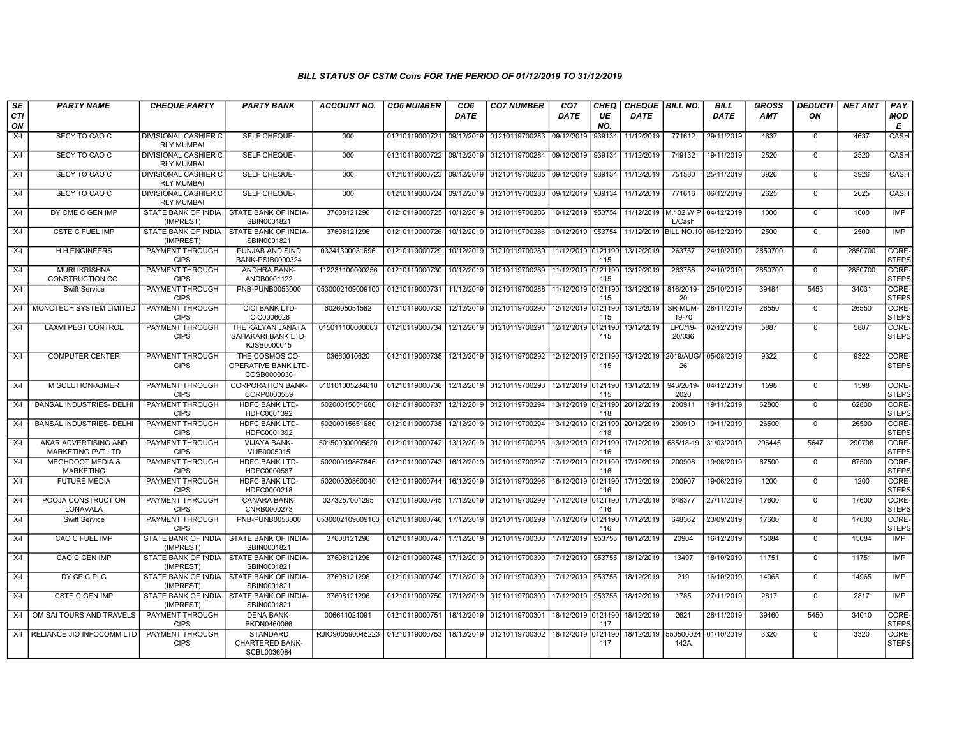| <b>SE</b><br><b>CTI</b><br>ON | <b>PARTY NAME</b>                               | <b>CHEQUE PARTY</b>                              | <b>PARTY BANK</b>                                         | <b>ACCOUNT NO.</b> | <b>CO6 NUMBER</b>         | CO <sub>6</sub><br><b>DATE</b> | <b>CO7 NUMBER</b>                 | CO <sub>7</sub><br>DATE | CHEQ<br>UE<br>NO. | <b>CHEQUE BILL NO.</b><br><b>DATE</b> |                   | <b>BILL</b><br><b>DATE</b> | <b>GROSS</b><br><b>AMT</b> | <b>DEDUCTI</b><br>ON | <b>NET AMT</b> | PAY<br><b>MOD</b><br>E      |
|-------------------------------|-------------------------------------------------|--------------------------------------------------|-----------------------------------------------------------|--------------------|---------------------------|--------------------------------|-----------------------------------|-------------------------|-------------------|---------------------------------------|-------------------|----------------------------|----------------------------|----------------------|----------------|-----------------------------|
| $X-I$                         | SECY TO CAO C                                   | <b>DIVISIONAL CASHIER C</b><br><b>RLY MUMBAI</b> | SELF CHEQUE-                                              | 000                | 01210119000721 09/12/2019 |                                | 01210119700283                    | 09/12/2019              | 939134            | 11/12/2019                            | 771612            | 29/11/2019                 | 4637                       | $\mathbf 0$          | 4637           | CASH                        |
| $X-I$                         | SECY TO CAO C                                   | <b>DIVISIONAL CASHIER C</b><br><b>RLY MUMBAI</b> | SELF CHEQUE-                                              | 000                | 01210119000722 09/12/2019 |                                | 01210119700284 09/12/2019         |                         | 939134            | 11/12/2019                            | 749132            | 19/11/2019                 | 2520                       | $\mathbf 0$          | 2520           | CASH                        |
| $X-I$                         | SECY TO CAO C                                   | <b>DIVISIONAL CASHIER C</b><br><b>RLY MUMBAI</b> | SELF CHEQUE-                                              | 000                | 01210119000723 09/12/2019 |                                | 01210119700285 09/12/2019         |                         | 939134            | 11/12/2019                            | 751580            | 25/11/2019                 | 3926                       | $\Omega$             | 3926           | CASH                        |
| $X-I$                         | SECY TO CAO C                                   | <b>DIVISIONAL CASHIER C</b><br><b>RLY MUMBAI</b> | SELF CHEQUE-                                              | 000                | 01210119000724 09/12/2019 |                                | 01210119700283 09/12/2019         |                         | 939134            | 11/12/2019                            | 771616            | 06/12/2019                 | 2625                       | $\overline{0}$       | 2625           | <b>CASH</b>                 |
| $X-I$                         | DY CME C GEN IMP                                | STATE BANK OF INDIA<br>(IMPREST)                 | STATE BANK OF INDIA-<br>SBIN0001821                       | 37608121296        | 01210119000725            | 10/12/2019                     | 01210119700286                    | 10/12/2019              | 953754            | 11/12/2019 M.102.W.P                  | L/Cash            | 04/12/2019                 | 1000                       | $\mathbf 0$          | 1000           | IMP                         |
| $X-I$                         | <b>CSTE C FUEL IMP</b>                          | STATE BANK OF INDIA<br>(IMPREST)                 | STATE BANK OF INDIA-<br>SBIN0001821                       | 37608121296        | 01210119000726            | 10/12/2019                     | 01210119700286                    | 10/12/2019              | 953754            | 11/12/2019 BILL NO.10                 |                   | 06/12/2019                 | 2500                       | $\mathbf 0$          | 2500           | <b>IMP</b>                  |
| $X-I$                         | <b>H.H.ENGINEERS</b>                            | <b>PAYMENT THROUGH</b><br><b>CIPS</b>            | PUNJAB AND SIND<br>BANK-PSIB0000324                       | 03241300031696     | 01210119000729            | 10/12/2019                     | 01210119700289                    | 11/12/2019 0121190      | 115               | 13/12/2019                            | 263757            | 24/10/2019                 | 2850700                    | $\mathbf 0$          | 2850700        | <b>CORE</b><br><b>STEPS</b> |
| $X-I$                         | <b>MURLIKRISHNA</b><br>CONSTRUCTION CO.         | PAYMENT THROUGH<br><b>CIPS</b>                   | ANDHRA BANK-<br>ANDB0001122                               | 112231100000256    | 01210119000730            | 10/12/2019                     | 01210119700289                    | 11/12/2019 0121190      | 115               | 13/12/2019                            | 263758            | 24/10/2019                 | 2850700                    | $\mathbf 0$          | 2850700        | CORE-<br><b>STEPS</b>       |
| $X-I$                         | Swift Service                                   | PAYMENT THROUGH<br><b>CIPS</b>                   | PNB-PUNB0053000                                           | 0530002109009100   | 01210119000731            | 11/12/2019                     | 01210119700288 11/12/2019 0121190 |                         | 115               | 13/12/2019                            | 816/2019-<br>20   | 25/10/2019                 | 39484                      | 5453                 | 34031          | CORE-<br><b>STEPS</b>       |
| $X-I$                         | MONOTECH SYSTEM LIMITED                         | PAYMENT THROUGH<br><b>CIPS</b>                   | <b>ICICI BANK LTD-</b><br>ICIC0006026                     | 602605051582       | 01210119000733            | 12/12/2019                     | 01210119700290                    | 12/12/2019 0121190      | 115               | 13/12/2019                            | SR-MUM-<br>19-70  | 28/11/2019                 | 26550                      | $\mathbf 0$          | 26550          | CORE-<br><b>STEPS</b>       |
| $X-I$                         | <b>LAXMI PEST CONTROL</b>                       | PAYMENT THROUGH<br><b>CIPS</b>                   | THE KALYAN JANATA<br>SAHAKARI BANK LTD-<br>KJSB0000015    | 015011100000063    | 01210119000734            | 12/12/2019                     | 01210119700291                    | 12/12/2019              | 0121190<br>115    | 13/12/2019                            | LPC/19-<br>20/036 | 02/12/2019                 | 5887                       | $\mathbf 0$          | 5887           | CORE-<br>STEPS              |
| $X-I$                         | <b>COMPUTER CENTER</b>                          | PAYMENT THROUGH<br><b>CIPS</b>                   | THE COSMOS CO-<br>OPERATIVE BANK LTD-<br>COSB0000036      | 03660010620        | 01210119000735            | 12/12/2019                     | 01210119700292                    | 12/12/2019 0121190      | 115               | 13/12/2019                            | 2019/AUG/<br>26   | 05/08/2019                 | 9322                       | $\mathbf 0$          | 9322           | CORE-<br><b>STEPS</b>       |
| $X-I$                         | M SOLUTION-AJMER                                | <b>PAYMENT THROUGH</b><br><b>CIPS</b>            | <b>CORPORATION BANK-</b><br>CORP0000559                   | 510101005284618    | 01210119000736            | 12/12/2019                     | 01210119700293                    | 12/12/2019 0121190      | 115               | 13/12/2019                            | 943/2019-<br>2020 | 04/12/2019                 | 1598                       | $\mathbf 0$          | 1598           | CORE-<br><b>STEPS</b>       |
| $X-I$                         | <b>BANSAL INDUSTRIES- DELHI</b>                 | PAYMENT THROUGH<br><b>CIPS</b>                   | HDFC BANK LTD-<br>HDFC0001392                             | 50200015651680     | 01210119000737            | 12/12/2019                     | 01210119700294                    | 13/12/2019              | 0121190<br>118    | 20/12/2019                            | 200911            | 19/11/2019                 | 62800                      | $\mathbf 0$          | 62800          | CORE-<br><b>STEPS</b>       |
| $X-I$                         | <b>BANSAL INDUSTRIES- DELHI</b>                 | PAYMENT THROUGH<br><b>CIPS</b>                   | <b>HDFC BANK LTD-</b><br>HDFC0001392                      | 50200015651680     | 01210119000738            | 12/12/2019                     | 01210119700294                    | 13/12/2019 0121190      | 118               | 20/12/2019                            | 200910            | 19/11/2019                 | 26500                      | $\mathbf 0$          | 26500          | CORE-<br><b>STEPS</b>       |
| $X-I$                         | AKAR ADVERTISING AND<br>MARKETING PVT LTD       | PAYMENT THROUGH<br><b>CIPS</b>                   | <b>VIJAYA BANK-</b><br>VIJB0005015                        | 501500300005620    | 01210119000742            | 13/12/2019                     | 01210119700295                    | 13/12/2019 0121190      | 116               | 17/12/2019                            | 685/18-19         | 31/03/2019                 | 296445                     | 5647                 | 290798         | CORE-<br><b>STEPS</b>       |
| $X-I$                         | <b>MEGHDOOT MEDIA &amp;</b><br><b>MARKETING</b> | <b>PAYMENT THROUGH</b><br><b>CIPS</b>            | <b>HDFC BANK LTD-</b><br>HDFC0000587                      | 50200019867646     | 01210119000743            | 16/12/2019                     | 01210119700297                    | 17/12/2019 0121190      | 116               | 17/12/2019                            | 200908            | 19/06/2019                 | 67500                      | $\mathbf 0$          | 67500          | CORE-<br>STEPS              |
| $X-I$                         | <b>FUTURE MEDIA</b>                             | PAYMENT THROUGH<br><b>CIPS</b>                   | HDFC BANK LTD-<br>HDFC0000218                             | 50200020860040     | 01210119000744            | 16/12/2019                     | 01210119700296                    | 16/12/2019 0121190      | 116               | 17/12/2019                            | 200907            | 19/06/2019                 | 1200                       | $\mathbf 0$          | 1200           | <b>CORE</b><br><b>STEPS</b> |
| $X-I$                         | POOJA CONSTRUCTION<br>LONAVALA                  | PAYMENT THROUGH<br><b>CIPS</b>                   | <b>CANARA BANK-</b><br>CNRB0000273                        | 0273257001295      | 01210119000745            | 17/12/2019                     | 01210119700299                    | 17/12/2019 0121190      | 116               | 17/12/2019                            | 648377            | 27/11/2019                 | 17600                      | $\mathbf 0$          | 17600          | CORE-<br><b>STEPS</b>       |
| $X-I$                         | <b>Swift Service</b>                            | <b>PAYMENT THROUGH</b><br><b>CIPS</b>            | PNB-PUNB0053000                                           | 0530002109009100   | 01210119000746            | 17/12/2019                     | 01210119700299                    | 17/12/2019 0121190      | 116               | 17/12/2019                            | 648362            | 23/09/2019                 | 17600                      | $\mathbf 0$          | 17600          | CORE-<br><b>STEPS</b>       |
| $X-I$                         | CAO C FUEL IMP                                  | STATE BANK OF INDIA<br>(IMPREST)                 | STATE BANK OF INDIA-<br>SBIN0001821                       | 37608121296        | 01210119000747            | 17/12/2019                     | 01210119700300                    | 17/12/2019              | 953755            | 18/12/2019                            | 20904             | 16/12/2019                 | 15084                      | $\mathbf 0$          | 15084          | <b>IMP</b>                  |
| $X-I$                         | CAO C GEN IMP                                   | STATE BANK OF INDIA<br>(IMPREST)                 | STATE BANK OF INDIA-<br>SBIN0001821                       | 37608121296        | 01210119000748            | 17/12/2019                     | 01210119700300                    | 17/12/2019              | 953755            | 18/12/2019                            | 13497             | 18/10/2019                 | 11751                      | $\mathbf 0$          | 11751          | IMP                         |
| $X-I$                         | DY CE C PLG                                     | STATE BANK OF INDIA<br>(IMPREST)                 | <b>STATE BANK OF INDIA-</b><br>SBIN0001821                | 37608121296        | 01210119000749            | 17/12/2019                     | 01210119700300                    | 17/12/2019              | 953755            | 18/12/2019                            | 219               | 16/10/2019                 | 14965                      | $\mathbf 0$          | 14965          | IMP                         |
| $X-I$                         | <b>CSTE C GEN IMP</b>                           | (IMPREST)                                        | STATE BANK OF INDIA   STATE BANK OF INDIA-<br>SBIN0001821 | 37608121296        | 01210119000750            | 17/12/2019                     | 01210119700300                    | 17/12/2019              | 953755            | 18/12/2019                            | 1785              | 27/11/2019                 | 2817                       | $\mathbf 0$          | 2817           | IMP                         |
| X-I                           | OM SAI TOURS AND TRAVELS                        | PAYMENT THROUGH<br><b>CIPS</b>                   | <b>DENA BANK-</b><br>BKDN0460066                          | 006611021091       | 01210119000751            | 18/12/2019                     | 01210119700301                    | 18/12/2019 0121190      | 117               | 18/12/2019                            | 2621              | 28/11/2019                 | 39460                      | 5450                 | 34010          | CORE-<br>STEPS              |
| $X-I$                         | RELIANCE JIO INFOCOMM LTD                       | <b>PAYMENT THROUGH</b><br><b>CIPS</b>            | <b>STANDARD</b><br><b>CHARTERED BANK-</b><br>SCBL0036084  | RJIO900590045223   | 01210119000753            | 18/12/2019                     | 01210119700302                    | 18/12/2019              | 0121190<br>117    | 18/12/2019                            | 550500024<br>142A | 01/10/2019                 | 3320                       | $\mathbf 0$          | 3320           | CORE-<br><b>STEPS</b>       |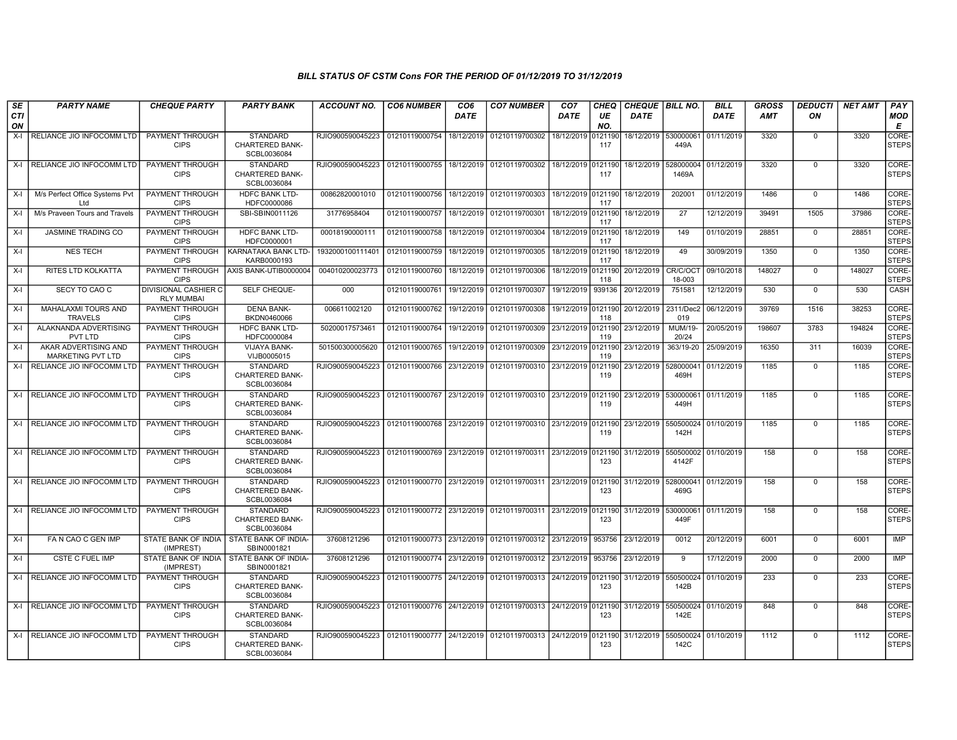| SE               | <b>PARTY NAME</b>                            | <b>CHEQUE PARTY</b>                              | <b>PARTY BANK</b>                                         | <b>ACCOUNT NO.</b>                                                                     | <b>CO6 NUMBER</b>         | CO <sub>6</sub> | <b>CO7 NUMBER</b>                                   | CO <sub>7</sub>    | <b>CHEQ</b>    | <b>CHEQUE   BILL NO.</b> |                    | <b>BILL</b>          | <b>GROSS</b> | <b>DEDUCTI</b> | <b>NET AMT</b> | PAY                   |
|------------------|----------------------------------------------|--------------------------------------------------|-----------------------------------------------------------|----------------------------------------------------------------------------------------|---------------------------|-----------------|-----------------------------------------------------|--------------------|----------------|--------------------------|--------------------|----------------------|--------------|----------------|----------------|-----------------------|
| <b>CTI</b><br>ON |                                              |                                                  |                                                           |                                                                                        |                           | <b>DATE</b>     |                                                     | DATE               | UE<br>NO.      | <b>DATE</b>              |                    | <b>DATE</b>          | <b>AMT</b>   | ON             |                | <b>MOD</b><br>Е       |
| $X-I$            | RELIANCE JIO INFOCOMM LTD                    | PAYMENT THROUGH<br><b>CIPS</b>                   | <b>STANDARD</b><br><b>CHARTERED BANK-</b><br>SCBL0036084  | RJIO900590045223                                                                       | 01210119000754            | 18/12/2019      | 01210119700302                                      | 18/12/2019         | 121190<br>117  | 18/12/2019               | 530000061<br>449A  | 01/11/2019           | 3320         | $\mathbf 0$    | 3320           | CORE-<br><b>STEPS</b> |
|                  | X-I RELIANCE JIO INFOCOMM LTD                | PAYMENT THROUGH<br><b>CIPS</b>                   | <b>STANDARD</b><br><b>CHARTERED BANK-</b><br>SCBL0036084  | RJIO900590045223                                                                       | 01210119000755            | 18/12/2019      | 01210119700302                                      | 18/12/2019 0121190 | 117            | 18/12/2019               | 528000004<br>1469A | 01/12/2019           | 3320         | $\mathbf{0}$   | 3320           | CORE-<br><b>STEPS</b> |
| X-I              | M/s Perfect Office Systems Pvt<br>Ltd        | PAYMENT THROUGH<br><b>CIPS</b>                   | <b>HDFC BANK LTD-</b><br>HDFC0000086                      | 00862820001010                                                                         | 01210119000756            | 18/12/2019      | 01210119700303                                      | 18/12/2019 0121190 | 117            | 18/12/2019               | 202001             | 01/12/2019           | 1486         | $\mathbf 0$    | 1486           | CORE-<br><b>STEPS</b> |
| X-I              | M/s Praveen Tours and Travels                | PAYMENT THROUGH<br><b>CIPS</b>                   | SBI-SBIN0011126                                           | 31776958404                                                                            | 01210119000757            | 18/12/2019      | 01210119700301                                      | 18/12/2019         | 0121190<br>117 | 18/12/2019               | 27                 | 12/12/2019           | 39491        | 1505           | 37986          | CORE-<br><b>STEPS</b> |
| $X-I$            | <b>JASMINE TRADING CO</b>                    | PAYMENT THROUGH<br><b>CIPS</b>                   | <b>HDFC BANK LTD-</b><br>HDFC0000001                      | 00018190000111                                                                         | 01210119000758            | 18/12/2019      | 01210119700304                                      | 18/12/2019         | 0121190<br>117 | 18/12/2019               | 149                | 01/10/2019           | 28851        | $\Omega$       | 28851          | CORE-<br><b>STEPS</b> |
| X-I              | <b>NES TECH</b>                              | PAYMENT THROUGH<br><b>CIPS</b>                   | <b>KARNATAKA BANK LTD-</b><br>KARB0000193                 | 1932000100111401                                                                       | 01210119000759            | 18/12/2019      | 01210119700305                                      | 18/12/2019 0121190 | 117            | 18/12/2019               | 49                 | 30/09/2019           | 1350         | $\mathbf 0$    | 1350           | CORE-<br><b>STEPS</b> |
| X-I              | RITES LTD KOLKATTA                           | PAYMENT THROUGH<br><b>CIPS</b>                   | AXIS BANK-UTIB0000004                                     | 004010200023773                                                                        | 01210119000760            | 18/12/2019      | 01210119700306                                      | 18/12/2019         | 121190<br>118  | 20/12/2019               | CR/C/OCT<br>18-003 | 09/10/2018           | 148027       | $\mathbf 0$    | 148027         | CORE-<br><b>STEPS</b> |
| $X-I$            | SECY TO CAO C                                | <b>DIVISIONAL CASHIER C</b><br><b>RLY MUMBAI</b> | SELF CHEQUE-                                              | 000                                                                                    | 01210119000761            | 19/12/2019      | 01210119700307                                      | 19/12/2019         | 939136         | 20/12/2019               | 751581             | 12/12/2019           | 530          | $\mathbf 0$    | 530            | <b>CASH</b>           |
| $X-I$            | <b>MAHALAXMI TOURS AND</b><br><b>TRAVELS</b> | PAYMENT THROUGH<br><b>CIPS</b>                   | <b>DENA BANK-</b><br>BKDN0460066                          | 006611002120                                                                           | 01210119000762            | 19/12/2019      | 01210119700308                                      | 19/12/2019 0121190 | 118            | 20/12/2019               | 2311/Dec2<br>019   | 06/12/2019           | 39769        | 1516           | 38253          | CORE-<br><b>STEPS</b> |
| $X-I$            | ALAKNANDA ADVERTISING<br>PVT LTD             | PAYMENT THROUGH<br><b>CIPS</b>                   | <b>HDFC BANK LTD-</b><br>HDFC0000084                      | 50200017573461                                                                         | 01210119000764            | 19/12/2019      | 01210119700309                                      | 23/12/2019 0121190 | 119            | 23/12/2019               | MUM/19-<br>20/24   | 20/05/2019           | 198607       | 3783           | 194824         | CORE-<br><b>STEPS</b> |
| X-I              | AKAR ADVERTISING AND<br>MARKETING PVT LTD    | PAYMENT THROUGH<br><b>CIPS</b>                   | VIJAYA BANK-<br>VIJB0005015                               | 501500300005620                                                                        | 01210119000765            | 19/12/2019      | 01210119700309                                      | 23/12/2019         | 0121190<br>119 | 23/12/2019               | 363/19-20          | 25/09/2019           | 16350        | 311            | 16039          | CORE-<br><b>STEPS</b> |
| $X-I$            | RELIANCE JIO INFOCOMM LTD                    | PAYMENT THROUGH<br><b>CIPS</b>                   | <b>STANDARD</b><br>CHARTERED BANK-<br>SCBL0036084         | RJIO900590045223                                                                       | 01210119000766 23/12/2019 |                 | 01210119700310 23/12/2019                           |                    | 0121190<br>119 | 23/12/2019               | 528000041<br>469H  | 01/12/2019           | 1185         | $\mathbf 0$    | 1185           | CORE-<br><b>STEPS</b> |
|                  | X-I RELIANCE JIO INFOCOMM LTD                | PAYMENT THROUGH<br><b>CIPS</b>                   | <b>STANDARD</b><br><b>CHARTERED BANK-</b><br>SCBL0036084  | RJIO900590045223                                                                       | 01210119000767 23/12/2019 |                 | 01210119700310 23/12/2019 0121190                   |                    | 119            | 23/12/2019               | 530000061<br>449H  | 01/11/2019           | 1185         | $\Omega$       | 1185           | CORE-<br><b>STEPS</b> |
|                  | X-I RELIANCE JIO INFOCOMM LTD                | PAYMENT THROUGH<br><b>CIPS</b>                   | STANDARD<br><b>CHARTERED BANK-</b><br>SCBL0036084         | RJIO900590045223                                                                       | 01210119000768            | 23/12/2019      | 01210119700310 23/12/2019 0121190                   |                    | 119            | 23/12/2019               | 550500024<br>142H  | 01/10/2019           | 1185         | $\mathbf 0$    | 1185           | CORE-<br><b>STEPS</b> |
| $\mathsf{x}$ -l  | RELIANCE JIO INFOCOMM LTD                    | PAYMENT THROUGH<br><b>CIPS</b>                   | <b>STANDARD</b><br><b>CHARTERED BANK-</b><br>SCBL0036084  | RJIO900590045223                                                                       | 01210119000769            | 23/12/2019      | 01210119700311 23/12/2019 0121190                   |                    | 123            | 31/12/2019               | 550500002<br>4142F | 01/10/2019           | 158          | $\Omega$       | 158            | CORE-<br><b>STEPS</b> |
| $X-I$            | RELIANCE JIO INFOCOMM LTD                    | PAYMENT THROUGH<br><b>CIPS</b>                   | <b>STANDARD</b><br><b>CHARTERED BANK-</b><br>SCBL0036084  | RJIO900590045223                                                                       | 01210119000770 23/12/2019 |                 | 01210119700311 23/12/2019 0121190                   |                    | 123            | 31/12/2019               | 528000041<br>469G  | 01/12/2019           | 158          | $\mathbf 0$    | 158            | CORE-<br><b>STEPS</b> |
|                  | X-I RELIANCE JIO INFOCOMM LTD                | <b>PAYMENT THROUGH</b><br><b>CIPS</b>            | <b>STANDARD</b><br><b>CHARTERED BANK-</b><br>SCBL0036084  | RJIO900590045223                                                                       | 01210119000772 23/12/2019 |                 | 01210119700311 23/12/2019 0121190                   |                    | 123            | 31/12/2019               | 530000061<br>449F  | 01/11/2019           | 158          | $\Omega$       | 158            | CORE-<br><b>STEPS</b> |
| $X-I$            | FA N CAO C GEN IMP                           | (IMPREST)                                        | STATE BANK OF INDIA STATE BANK OF INDIA-<br>SBIN0001821   | 37608121296                                                                            |                           |                 | 01210119000773 23/12/2019 01210119700312 23/12/2019 |                    | 953756         | 23/12/2019               | 0012               | 20/12/2019           | 6001         | $\mathbf 0$    | 6001           | <b>IMP</b>            |
| X-I              | <b>CSTE C FUEL IMP</b>                       | (IMPREST)                                        | STATE BANK OF INDIA   STATE BANK OF INDIA-<br>SBIN0001821 | 37608121296                                                                            | 01210119000774 23/12/2019 |                 | 01210119700312 23/12/2019                           |                    | 953756         | 23/12/2019               | $\mathbf{q}$       | 17/12/2019           | 2000         | $\mathbf 0$    | 2000           | IMP                   |
|                  | X-I RELIANCE JIO INFOCOMM LTD                | PAYMENT THROUGH<br><b>CIPS</b>                   | <b>STANDARD</b><br>CHARTERED BANK-<br>SCBL0036084         | RJIO900590045223                                                                       | 01210119000775 24/12/2019 |                 | 01210119700313 24/12/2019 0121190                   |                    | 123            | 31/12/2019               | 550500024<br>142B  | 01/10/2019           | 233          | $\mathbf{0}$   | 233            | CORE-<br><b>STEPS</b> |
|                  | X-I RELIANCE JIO INFOCOMM LTD                | PAYMENT THROUGH<br><b>CIPS</b>                   | <b>STANDARD</b><br><b>CHARTERED BANK-</b><br>SCBL0036084  | RJIO900590045223   01210119000776   24/12/2019   01210119700313   24/12/2019   0121190 |                           |                 |                                                     |                    | 123            | 31/12/2019               | 142E               | 550500024 01/10/2019 | 848          | $\mathbf{0}$   | 848            | CORE-<br><b>STEPS</b> |
|                  | X-I RELIANCE JIO INFOCOMM LTD                | <b>PAYMENT THROUGH</b><br><b>CIPS</b>            | <b>STANDARD</b><br>CHARTERED BANK-<br>SCBL0036084         | RJIO900590045223                                                                       | 01210119000777 24/12/2019 |                 | 01210119700313 24/12/2019                           |                    | 0121190<br>123 | 31/12/2019               | 550500024<br>142C  | 01/10/2019           | 1112         | $\mathbf 0$    | 1112           | CORE-<br><b>STEPS</b> |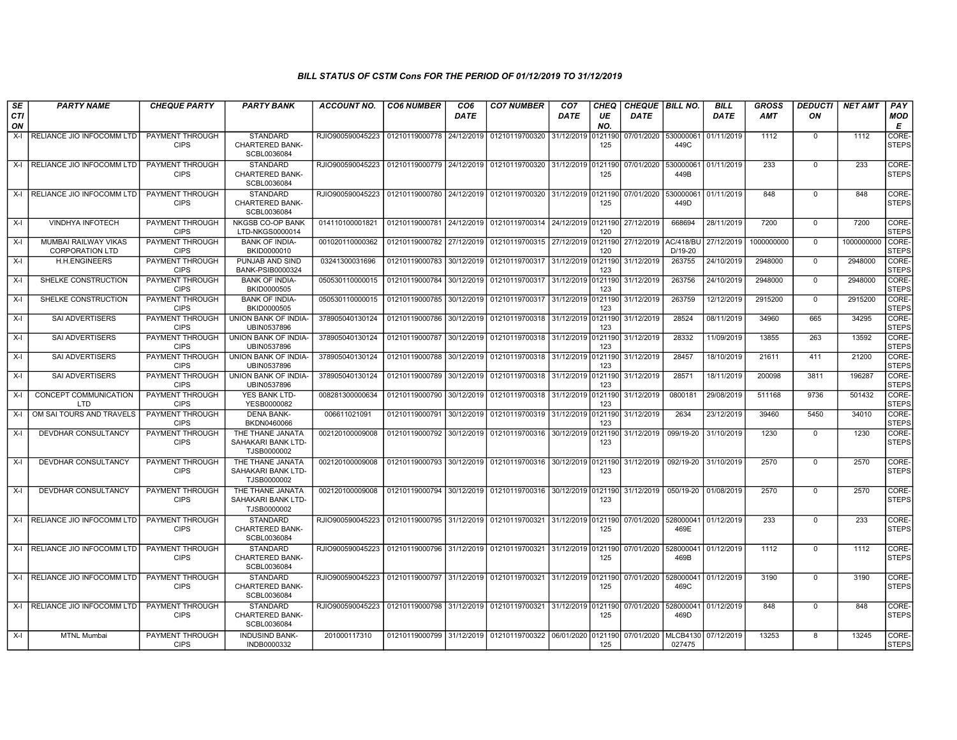| SE        | <b>PARTY NAME</b>                              | <b>CHEQUE PARTY</b>                   | <b>PARTY BANK</b>                                        | <b>ACCOUNT NO.</b> | <b>CO6 NUMBER</b>         | CO <sub>6</sub> | <b>CO7 NUMBER</b>                                           | CO <sub>7</sub>    | CHEQ           | <b>CHEQUE   BILL NO.</b> |                               | <b>BILL</b> | GROSS      | <b>DEDUCTI</b> | <b>NET AMT</b> | PAY                         |
|-----------|------------------------------------------------|---------------------------------------|----------------------------------------------------------|--------------------|---------------------------|-----------------|-------------------------------------------------------------|--------------------|----------------|--------------------------|-------------------------------|-------------|------------|----------------|----------------|-----------------------------|
| CTI<br>ON |                                                |                                       |                                                          |                    |                           | <b>DATE</b>     |                                                             | <b>DATE</b>        | UE<br>NO.      | <b>DATE</b>              |                               | <b>DATE</b> | AMT        | ON             |                | <b>MOD</b><br>Е             |
| $X-I$     | RELIANCE JIO INFOCOMM LTD                      | <b>PAYMENT THROUGH</b><br><b>CIPS</b> | <b>STANDARD</b><br><b>CHARTERED BANK-</b><br>SCBL0036084 | RJIO900590045223   | 01210119000778            | 24/12/2019      | 01210119700320                                              | 31/12/2019         | 0121190<br>125 | 07/01/2020               | 530000061<br>449C             | 01/11/2019  | 1112       | $\mathbf{0}$   | 1112           | <b>CORE</b><br><b>STEPS</b> |
| X-I       | RELIANCE JIO INFOCOMM LTD                      | PAYMENT THROUGH<br><b>CIPS</b>        | STANDARD<br>CHARTERED BANK-<br>SCBL0036084               | RJIO900590045223   | 01210119000779            | 24/12/2019      | 01210119700320                                              | 31/12/2019         | 0121190<br>125 | 07/01/2020               | 53000006<br>449B              | 01/11/2019  | 233        | $\mathbf 0$    | 233            | CORE-<br><b>STEPS</b>       |
|           | X-I RELIANCE JIO INFOCOMM LTD                  | <b>PAYMENT THROUGH</b><br><b>CIPS</b> | <b>STANDARD</b><br><b>CHARTERED BANK-</b><br>SCBL0036084 | RJIO900590045223   | 01210119000780            | 24/12/2019      | 01210119700320 31/12/2019 0121190                           |                    | 125            | 07/01/2020               | 530000061<br>449D             | 01/11/2019  | 848        | $\mathbf{0}$   | 848            | CORE-<br><b>STEPS</b>       |
| X-I       | <b>VINDHYA INFOTECH</b>                        | PAYMENT THROUGH<br><b>CIPS</b>        | <b>NKGSB CO-OP BANK</b><br>LTD-NKGS0000014               | 014110100001821    | 01210119000781            | 24/12/2019      | 01210119700314 24/12/2019 0121190                           |                    | 120            | 27/12/2019               | 668694                        | 28/11/2019  | 7200       | $\mathbf 0$    | 7200           | CORE-<br><b>STEPS</b>       |
| X-I       | MUMBAI RAILWAY VIKAS<br><b>CORPORATION LTD</b> | PAYMENT THROUGH<br><b>CIPS</b>        | <b>BANK OF INDIA-</b><br>BKID0000010                     | 001020110000362    | 01210119000782            | 27/12/2019      | 01210119700315 27/12/2019                                   |                    | 0121190<br>120 | 27/12/2019               | <b>AC/418/BL</b><br>$D/19-20$ | 27/12/2019  | 1000000000 | $\Omega$       | 1000000000     | CORE-<br><b>STEPS</b>       |
| X-I       | H.H.ENGINEERS                                  | <b>PAYMENT THROUGH</b><br><b>CIPS</b> | PUNJAB AND SIND<br><b>BANK-PSIB0000324</b>               | 03241300031696     | 01210119000783            | 30/12/2019      | 01210119700317                                              | 31/12/2019         | 0121190<br>123 | 31/12/2019               | 263755                        | 24/10/2019  | 2948000    | $\mathbf 0$    | 2948000        | CORE-<br><b>STEPS</b>       |
| X-I       | SHELKE CONSTRUCTION                            | <b>PAYMENT THROUGH</b><br><b>CIPS</b> | <b>BANK OF INDIA-</b><br>BKID0000505                     | 050530110000015    | 01210119000784            | 30/12/2019      | 01210119700317 31/12/2019 0121190                           |                    | 123            | 31/12/2019               | 263756                        | 24/10/2019  | 2948000    | $\mathbf{0}$   | 2948000        | CORE-<br><b>STEPS</b>       |
| $X-I$     | SHELKE CONSTRUCTION                            | PAYMENT THROUGH<br><b>CIPS</b>        | <b>BANK OF INDIA-</b><br>BKID0000505                     | 050530110000015    | 01210119000785            | 30/12/2019      | 01210119700317 31/12/2019 0121190                           |                    | 123            | 31/12/2019               | 263759                        | 12/12/2019  | 2915200    | $\Omega$       | 2915200        | CORE-<br><b>STEPS</b>       |
| $X-I$     | <b>SAI ADVERTISERS</b>                         | PAYMENT THROUGH<br><b>CIPS</b>        | UNION BANK OF INDIA-<br>UBIN0537896                      | 378905040130124    | 01210119000786            | 30/12/2019      | 01210119700318 31/12/2019 0121190                           |                    | 123            | 31/12/2019               | 28524                         | 08/11/2019  | 34960      | 665            | 34295          | CORE-<br><b>STEPS</b>       |
| X-I       | <b>SAI ADVERTISERS</b>                         | PAYMENT THROUGH<br><b>CIPS</b>        | UNION BANK OF INDIA-<br>UBIN0537896                      | 378905040130124    | 01210119000787            | 30/12/2019      | 01210119700318 31/12/2019 0121190                           |                    | 123            | 31/12/2019               | 28332                         | 11/09/2019  | 13855      | 263            | 13592          | CORE-<br><b>STEPS</b>       |
| X-I       | <b>SAI ADVERTISERS</b>                         | <b>PAYMENT THROUGH</b><br><b>CIPS</b> | UNION BANK OF INDIA-<br>UBIN0537896                      | 378905040130124    | 01210119000788            | 30/12/2019      | 01210119700318                                              | 31/12/2019         | 0121190<br>123 | 31/12/2019               | 28457                         | 18/10/2019  | 21611      | 411            | 21200          | CORE-<br><b>STEPS</b>       |
| $X-I$     | <b>SAI ADVERTISERS</b>                         | PAYMENT THROUGH<br><b>CIPS</b>        | UNION BANK OF INDIA-<br>UBIN0537896                      | 378905040130124    | 01210119000789            | 30/12/2019      | 01210119700318 31/12/2019 0121190                           |                    | 123            | 31/12/2019               | 28571                         | 18/11/2019  | 200098     | 3811           | 196287         | CORE-<br><b>STEPS</b>       |
| X-I       | CONCEPT COMMUNICATION<br>LTD                   | PAYMENT THROUGH<br><b>CIPS</b>        | YES BANK LTD-<br>YESB0000082                             | 008281300000634    | 01210119000790            | 30/12/2019      | 01210119700318 31/12/2019 0121190                           |                    | 123            | 31/12/2019               | 0800181                       | 29/08/2019  | 511168     | 9736           | 501432         | CORE-<br><b>STEPS</b>       |
| $X-I$     | OM SAI TOURS AND TRAVELS                       | PAYMENT THROUGH<br><b>CIPS</b>        | <b>DENA BANK-</b><br>BKDN0460066                         | 006611021091       | 01210119000791            | 30/12/2019      | 01210119700319 31/12/2019 0121190                           |                    | 123            | 31/12/2019               | 2634                          | 23/12/2019  | 39460      | 5450           | 34010          | CORE-<br><b>STEPS</b>       |
| X-I       | DEVDHAR CONSULTANCY                            | <b>PAYMENT THROUGH</b><br><b>CIPS</b> | THE THANE JANATA<br>SAHAKARI BANK LTD-<br>TJSB0000002    | 002120100009008    | 01210119000792            | 30/12/2019      | 01210119700316 30/12/2019 0121190                           |                    | 123            | 31/12/2019               | 099/19-20                     | 31/10/2019  | 1230       | $\mathbf 0$    | 1230           | CORE-<br><b>STEPS</b>       |
| X-I       | DEVDHAR CONSULTANCY                            | <b>PAYMENT THROUGH</b><br><b>CIPS</b> | THE THANE JANATA<br>SAHAKARI BANK LTD-<br>TJSB0000002    | 002120100009008    | 01210119000793            | 30/12/2019      | 01210119700316 30/12/2019 0121190                           |                    | 123            | 31/12/2019               | 092/19-20                     | 31/10/2019  | 2570       | $\Omega$       | 2570           | CORE-<br><b>STEPS</b>       |
| X-I       | DEVDHAR CONSULTANCY                            | <b>PAYMENT THROUGH</b><br><b>CIPS</b> | THE THANE JANATA<br>SAHAKARI BANK LTD-<br>TJSB0000002    | 002120100009008    | 01210119000794            | 30/12/2019      | 01210119700316 30/12/2019 0121190                           |                    | 123            | 31/12/2019               | 050/19-20                     | 01/08/2019  | 2570       | $\mathbf{0}$   | 2570           | CORE-<br><b>STEPS</b>       |
|           | X-I   RELIANCE JIO INFOCOMM LTD                | <b>PAYMENT THROUGH</b><br><b>CIPS</b> | <b>STANDARD</b><br><b>CHARTERED BANK-</b><br>SCBL0036084 | RJIO900590045223   | 01210119000795 31/12/2019 |                 | 01210119700321 31/12/2019 0121190                           |                    | 125            | 07/01/2020               | 528000041<br>469E             | 01/12/2019  | 233        | $\Omega$       | 233            | CORE-<br><b>STEPS</b>       |
|           | X-I RELIANCE JIO INFOCOMM LTD                  | <b>PAYMENT THROUGH</b><br><b>CIPS</b> | <b>STANDARD</b><br><b>CHARTERED BANK-</b><br>SCBL0036084 | RJIO900590045223   | 01210119000796            | 31/12/2019      | 01210119700321 31/12/2019 0121190                           |                    | 125            | 07/01/2020               | 528000041<br>469B             | 01/12/2019  | 1112       | $\Omega$       | 1112           | CORE-<br><b>STEPS</b>       |
|           | X-I   RELIANCE JIO INFOCOMM LTD                | <b>PAYMENT THROUGH</b><br><b>CIPS</b> | <b>STANDARD</b><br><b>CHARTERED BANK-</b><br>SCBL0036084 | RJIO900590045223   | 01210119000797            | 31/12/2019      | 01210119700321                                              | 31/12/2019 0121190 | 125            | 07/01/2020               | 528000041<br>469C             | 01/12/2019  | 3190       | $\mathbf{0}$   | 3190           | CORE-<br><b>STEPS</b>       |
|           | X-I RELIANCE JIO INFOCOMM LTD                  | <b>PAYMENT THROUGH</b><br><b>CIPS</b> | <b>STANDARD</b><br><b>CHARTERED BANK-</b><br>SCBL0036084 | RJIO900590045223   |                           |                 | 01210119000798 31/12/2019 01210119700321 31/12/2019 0121190 |                    | 125            | 07/01/2020               | 528000041<br>469D             | 01/12/2019  | 848        | $\Omega$       | 848            | CORE-<br><b>STEPS</b>       |
| X-I       | <b>MTNL Mumba</b>                              | <b>PAYMENT THROUGH</b><br><b>CIPS</b> | <b>INDUSIND BANK-</b><br>INDB0000332                     | 201000117310       | 01210119000799            | 31/12/2019      | 01210119700322                                              | 06/01/2020         | 0121190<br>125 | 07/01/2020               | <b>MLCB4130</b><br>027475     | 07/12/2019  | 13253      | 8              | 13245          | CORE-<br><b>STEPS</b>       |